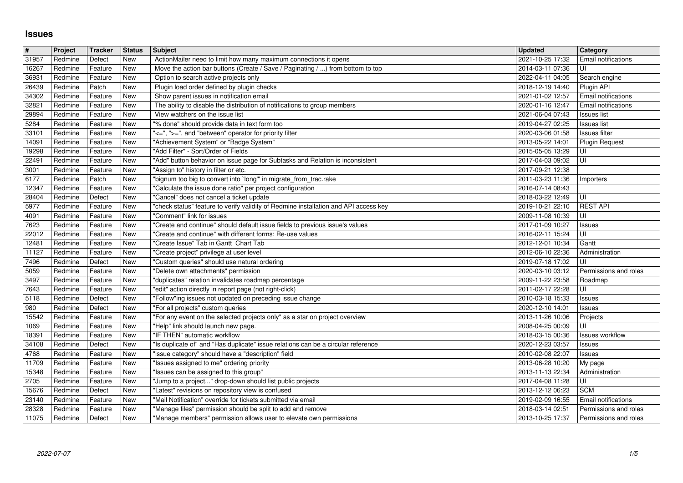## **Issues**

| $\pmb{\#}$     | Project            | Tracker            | <b>Status</b>     | <b>Subject</b>                                                                                                                                     | <b>Updated</b>                       | Category                                       |
|----------------|--------------------|--------------------|-------------------|----------------------------------------------------------------------------------------------------------------------------------------------------|--------------------------------------|------------------------------------------------|
| 31957<br>16267 | Redmine<br>Redmine | Defect<br>Feature  | New<br>New        | ActionMailer need to limit how many maximum connections it opens<br>Move the action bar buttons (Create / Save / Paginating / ) from bottom to top | 2021-10-25 17:32<br>2014-03-11 07:36 | Email notifications<br>UI                      |
| 36931          | Redmine            | Feature            | New               | Option to search active projects only                                                                                                              | 2022-04-11 04:05                     | Search engine                                  |
| 26439<br>34302 | Redmine<br>Redmine | Patch<br>Feature   | New<br>New        | Plugin load order defined by plugin checks<br>Show parent issues in notification email                                                             | 2018-12-19 14:40<br>2021-01-02 12:57 | Plugin API<br><b>Email notifications</b>       |
| 32821          | Redmine            | Feature            | New               | The ability to disable the distribution of notifications to group members                                                                          | 2020-01-16 12:47                     | <b>Email notifications</b>                     |
| 29894<br>5284  | Redmine<br>Redmine | Feature<br>Feature | New<br>New        | View watchers on the issue list<br>"% done" should provide data in text form too                                                                   | 2021-06-04 07:43<br>2019-04-27 02:25 | Issues list<br><b>Issues list</b>              |
| 33101          | Redmine            | Feature            | New               | "<=", ">=", and "between" operator for priority filter                                                                                             | 2020-03-06 01:58                     | <b>Issues filter</b>                           |
| 14091<br>19298 | Redmine<br>Redmine | Feature<br>Feature | New<br>New        | "Achievement System" or "Badge System"<br>"Add Filter" - Sort/Order of Fields                                                                      | 2013-05-22 14:01<br>2015-05-05 13:29 | <b>Plugin Request</b><br>UI                    |
| 22491          | Redmine            | Feature            | New               | "Add" button behavior on issue page for Subtasks and Relation is inconsistent                                                                      | 2017-04-03 09:02                     | UI                                             |
| 3001<br>6177   | Redmine<br>Redmine | Feature<br>Patch   | New<br>New        | "Assign to" history in filter or etc.<br>"bignum too big to convert into `long" in migrate_from_trac.rake                                          | 2017-09-21 12:38<br>2011-03-23 11:36 | Importers                                      |
| 12347          | Redmine            | Feature            | New               | "Calculate the issue done ratio" per project configuration                                                                                         | 2016-07-14 08:43                     |                                                |
| 28404<br>5977  | Redmine<br>Redmine | Defect<br>Feature  | New<br>New        | "Cancel" does not cancel a ticket update<br>"check status" feature to verify validity of Redmine installation and API access key                   | 2018-03-22 12:49<br>2019-10-21 22:10 | UI<br><b>REST API</b>                          |
| 4091           | Redmine            | Feature            | New               | "Comment" link for issues                                                                                                                          | 2009-11-08 10:39                     | UI                                             |
| 7623<br>22012  | Redmine<br>Redmine | Feature<br>Feature | New<br>New        | "Create and continue" should default issue fields to previous issue's values<br>"Create and continue" with different forms: Re-use values          | 2017-01-09 10:27<br>2016-02-11 15:24 | <b>Issues</b><br>UI                            |
| 12481          | Redmine            | Feature            | New               | "Create Issue" Tab in Gantt Chart Tab                                                                                                              | 2012-12-01 10:34                     | Gantt                                          |
| 11127<br>7496  | Redmine<br>Redmine | Feature<br>Defect  | New<br>New        | "Create project" privilege at user level<br>"Custom queries" should use natural ordering                                                           | 2012-06-10 22:36<br>2019-07-18 17:02 | Administration<br>UI                           |
| 5059           | Redmine            | Feature            | New               | "Delete own attachments" permission                                                                                                                | 2020-03-10 03:12                     | Permissions and roles                          |
| 3497<br>7643   | Redmine<br>Redmine | Feature<br>Feature | New<br>New        | "duplicates" relation invalidates roadmap percentage<br>"edit" action directly in report page (not right-click)                                    | 2009-11-22 23:58<br>2011-02-17 22:28 | Roadmap<br>UI                                  |
| 5118           | Redmine            | Defect             | New               | "Follow"ing issues not updated on preceding issue change                                                                                           | 2010-03-18 15:33                     | Issues                                         |
| 980<br>15542   | Redmine<br>Redmine | Defect<br>Feature  | New<br>New        | "For all projects" custom queries<br>"For any event on the selected projects only" as a star on project overview                                   | 2020-12-10 14:01<br>2013-11-26 10:06 | <b>Issues</b><br>Projects                      |
| 1069           | Redmine            | Feature            | New               | "Help" link should launch new page.                                                                                                                | 2008-04-25 00:09                     | UI                                             |
| 18391<br>34108 | Redmine<br>Redmine | Feature<br>Defect  | New<br>New        | "IF THEN" automatic workflow<br>"Is duplicate of" and "Has duplicate" issue relations can be a circular reference                                  | 2018-03-15 00:36<br>2020-12-23 03:57 | Issues workflow<br><b>Issues</b>               |
| 4768           | Redmine            | Feature            | New               | "issue category" should have a "description" field                                                                                                 | 2010-02-08 22:07                     | <b>Issues</b>                                  |
| 11709<br>15348 | Redmine<br>Redmine | Feature<br>Feature | New<br>New        | "Issues assigned to me" ordering priority<br>"Issues can be assigned to this group"                                                                | 2013-06-28 10:20<br>2013-11-13 22:34 | My page<br>Administration                      |
| 2705           | Redmine            | Feature            | New               | "Jump to a project" drop-down should list public projects                                                                                          | 2017-04-08 11:28                     | UI                                             |
| 15676<br>23140 | Redmine<br>Redmine | Defect<br>Feature  | New<br>New        | "Latest" revisions on repository view is confused<br>"Mail Notification" override for tickets submitted via email                                  | 2013-12-12 06:23<br>2019-02-09 16:55 | <b>SCM</b><br><b>Email notifications</b>       |
| 28328<br>11075 | Redmine<br>Redmine | Feature<br>Defect  | New<br><b>New</b> | "Manage files" permission should be split to add and remove<br>"Manage members" permission allows user to elevate own permissions                  | 2018-03-14 02:51<br>2013-10-25 17:37 | Permissions and roles<br>Permissions and roles |
|                |                    |                    |                   |                                                                                                                                                    |                                      |                                                |
|                |                    |                    |                   |                                                                                                                                                    |                                      |                                                |
|                |                    |                    |                   |                                                                                                                                                    |                                      |                                                |
|                |                    |                    |                   |                                                                                                                                                    |                                      |                                                |
|                |                    |                    |                   |                                                                                                                                                    |                                      |                                                |
|                |                    |                    |                   |                                                                                                                                                    |                                      |                                                |
|                |                    |                    |                   |                                                                                                                                                    |                                      |                                                |
|                |                    |                    |                   |                                                                                                                                                    |                                      |                                                |
|                |                    |                    |                   |                                                                                                                                                    |                                      |                                                |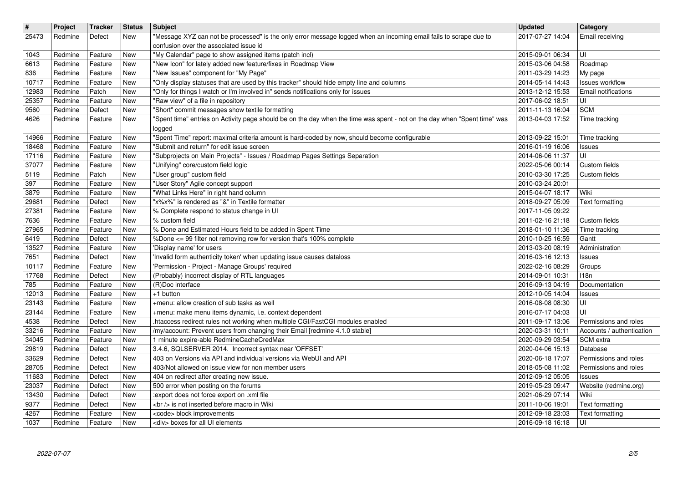| $\overline{\mathbf{H}}$<br>25473 | Project<br>Redmine | <b>Tracker</b><br>Defect | <b>Status</b><br>New     | <b>Subject</b><br>"Message XYZ can not be processed" is the only error message logged when an incoming email fails to scrape due to                                          | <b>Updated</b><br>2017-07-27 14:04   | <b>Category</b><br>Email receiving                 |
|----------------------------------|--------------------|--------------------------|--------------------------|------------------------------------------------------------------------------------------------------------------------------------------------------------------------------|--------------------------------------|----------------------------------------------------|
|                                  |                    |                          |                          | confusion over the associated issue id                                                                                                                                       |                                      |                                                    |
| 1043<br>6613                     | Redmine<br>Redmine | Feature<br>Feature       | <b>New</b><br>New        | "My Calendar" page to show assigned items (patch incl)<br>"New Icon" for lately added new feature/fixes in Roadmap View                                                      | 2015-09-01 06:34<br>2015-03-06 04:58 | UI<br>Roadmap                                      |
| 836                              | Redmine            | Feature                  | New                      | "New Issues" component for "My Page"                                                                                                                                         | 2011-03-29 14:23                     | My page                                            |
| 10717<br>12983                   | Redmine<br>Redmine | Feature<br>Patch         | <b>New</b><br>New        | "Only display statuses that are used by this tracker" should hide empty line and columns<br>"Only for things I watch or I'm involved in" sends notifications only for issues | 2014-05-14 14:43<br>2013-12-12 15:53 | Issues workflow<br><b>Email notifications</b>      |
| 25357                            | Redmine            | Feature                  | <b>New</b>               | "Raw view" of a file in repository                                                                                                                                           | 2017-06-02 18:51                     | UI                                                 |
| 9560<br>4626                     | Redmine<br>Redmine | Defect<br>Feature        | New<br>New               | "Short" commit messages show textile formatting<br>"Spent time" entries on Activity page should be on the day when the time was spent - not on the day when "Spent time" was | 2011-11-13 16:04<br>2013-04-03 17:52 | <b>SCM</b><br>Time tracking                        |
| 14966                            | Redmine            | Feature                  | <b>New</b>               | logged<br>"Spent Time" report: maximal criteria amount is hard-coded by now, should become configurable                                                                      | 2013-09-22 15:01                     | Time tracking                                      |
| 18468                            | Redmine            | Feature                  | New                      | "Submit and return" for edit issue screen                                                                                                                                    | 2016-01-19 16:06                     | <b>Issues</b>                                      |
| 17116<br>37077                   | Redmine<br>Redmine | Feature<br>Feature       | New<br>New               | "Subprojects on Main Projects" - Issues / Roadmap Pages Settings Separation<br>"Unifying" core/custom field logic                                                            | 2014-06-06 11:37<br>2022-05-06 00:14 | UI<br>Custom fields                                |
| 5119                             | Redmine            | Patch                    | New                      | "User group" custom field                                                                                                                                                    | 2010-03-30 17:25                     | Custom fields                                      |
| 397<br>3879                      | Redmine<br>Redmine | Feature<br>Feature       | New<br>New               | "User Story" Agile concept support<br>"What Links Here" in right hand column                                                                                                 | 2010-03-24 20:01<br>2015-04-07 18:17 | Wiki                                               |
| 29681<br>27381                   | Redmine<br>Redmine | Defect<br>Feature        | New<br><b>New</b>        | "x%x%" is rendered as "&" in Textile formatter<br>% Complete respond to status change in UI                                                                                  | 2018-09-27 05:09<br>2017-11-05 09:22 | Text formatting                                    |
| 7636                             | Redmine            | Feature                  | <b>New</b>               | % custom field                                                                                                                                                               | 2011-02-16 21:18                     | Custom fields                                      |
| 27965<br>6419                    | Redmine<br>Redmine | Feature<br>Defect        | <b>New</b><br>New        | % Done and Estimated Hours field to be added in Spent Time<br>%Done <= 99 filter not removing row for version that's 100% complete                                           | 2018-01-10 11:36<br>2010-10-25 16:59 | Time tracking<br>Gantt                             |
| 13527<br>7651                    | Redmine<br>Redmine | Feature<br>Defect        | New<br>New               | 'Display name' for users<br>'Invalid form authenticity token' when updating issue causes dataloss                                                                            | 2013-03-20 08:19<br>2016-03-16 12:13 | Administration<br>Issues                           |
| 10117                            | Redmine            | Feature                  | New                      | 'Permission - Project - Manage Groups' required                                                                                                                              | 2022-02-16 08:29                     | Groups                                             |
| 17768<br>785                     | Redmine<br>Redmine | Defect<br>Feature        | New<br>New               | (Probably) incorrect display of RTL languages<br>(R)Doc interface                                                                                                            | 2014-09-01 10:31<br>2016-09-13 04:19 | 118n<br>Documentation                              |
| 12013                            | Redmine            | Feature                  | New                      | +1 button                                                                                                                                                                    | 2012-10-05 14:04                     | <b>Issues</b>                                      |
| 23143<br>23144                   | Redmine<br>Redmine | Feature<br>Feature       | <b>New</b><br>New        | +menu: allow creation of sub tasks as well<br>+menu: make menu items dynamic, i.e. context dependent                                                                         | 2016-08-08 08:30<br>2016-07-17 04:03 | UI<br>UI                                           |
| 4538<br>33216                    | Redmine<br>Redmine | Defect<br>Feature        | <b>New</b><br><b>New</b> | .htaccess redirect rules not working when multiple CGI/FastCGI modules enabled<br>/my/account: Prevent users from changing their Email [redmine 4.1.0 stable]                | 2011-09-17 13:06<br>2020-03-31 10:11 | Permissions and roles<br>Accounts / authentication |
| 34045                            | Redmine            | Feature                  | New                      | 1 minute expire-able RedmineCacheCredMax                                                                                                                                     | 2020-09-29 03:54                     | SCM extra                                          |
| 29819<br>33629                   | Redmine<br>Redmine | Defect<br>Defect         | New<br>New               | 3.4.6, SQLSERVER 2014. Incorrect syntax near 'OFFSET'<br>403 on Versions via API and individual versions via WebUI and API                                                   | 2020-04-06 15:13<br>2020-06-18 17:07 | Database<br>Permissions and roles                  |
| 28705<br>11683                   | Redmine<br>Redmine | Defect<br>Defect         | <b>New</b><br><b>New</b> | 403/Not allowed on issue view for non member users<br>404 on redirect after creating new issue.                                                                              | 2018-05-08 11:02<br>2012-09-12 05:05 | Permissions and roles<br><b>Issues</b>             |
| 23037                            | Redmine            | Defect                   | New                      | 500 error when posting on the forums                                                                                                                                         |                                      | 2019-05-23 09:47   Website (redmine.org)           |
| 13430<br>9377                    | Redmine<br>Redmine | Defect<br>Defect         | <b>New</b><br><b>New</b> | :export does not force export on .xml file<br><br>> is not inserted before macro in Wiki                                                                                     | 2021-06-29 07:14<br>2011-10-06 19:01 | Wiki<br>Text formatting                            |
| 4267<br>1037                     | Redmine<br>Redmine | Feature<br>Feature       | New<br>New               | <code> block improvements<br/><div> boxes for all UI elements</div></code>                                                                                                   | 2012-09-18 23:03<br>2016-09-18 16:18 | Text formatting<br>UI                              |
|                                  |                    |                          |                          |                                                                                                                                                                              |                                      |                                                    |
|                                  |                    |                          |                          |                                                                                                                                                                              |                                      |                                                    |
|                                  |                    |                          |                          |                                                                                                                                                                              |                                      |                                                    |
|                                  |                    |                          |                          |                                                                                                                                                                              |                                      |                                                    |
|                                  |                    |                          |                          |                                                                                                                                                                              |                                      |                                                    |
|                                  |                    |                          |                          |                                                                                                                                                                              |                                      |                                                    |
|                                  |                    |                          |                          |                                                                                                                                                                              |                                      |                                                    |
|                                  |                    |                          |                          |                                                                                                                                                                              |                                      |                                                    |
|                                  |                    |                          |                          |                                                                                                                                                                              |                                      |                                                    |
|                                  |                    |                          |                          |                                                                                                                                                                              |                                      |                                                    |
|                                  |                    |                          |                          |                                                                                                                                                                              |                                      |                                                    |
|                                  |                    |                          |                          |                                                                                                                                                                              |                                      |                                                    |
|                                  |                    |                          |                          |                                                                                                                                                                              |                                      |                                                    |
|                                  |                    |                          |                          |                                                                                                                                                                              |                                      |                                                    |
|                                  |                    |                          |                          |                                                                                                                                                                              |                                      |                                                    |
|                                  |                    |                          |                          |                                                                                                                                                                              |                                      |                                                    |
|                                  |                    |                          |                          |                                                                                                                                                                              |                                      |                                                    |
|                                  |                    |                          |                          |                                                                                                                                                                              |                                      |                                                    |
|                                  |                    |                          |                          |                                                                                                                                                                              |                                      |                                                    |
|                                  |                    |                          |                          |                                                                                                                                                                              |                                      |                                                    |
|                                  |                    |                          |                          |                                                                                                                                                                              |                                      |                                                    |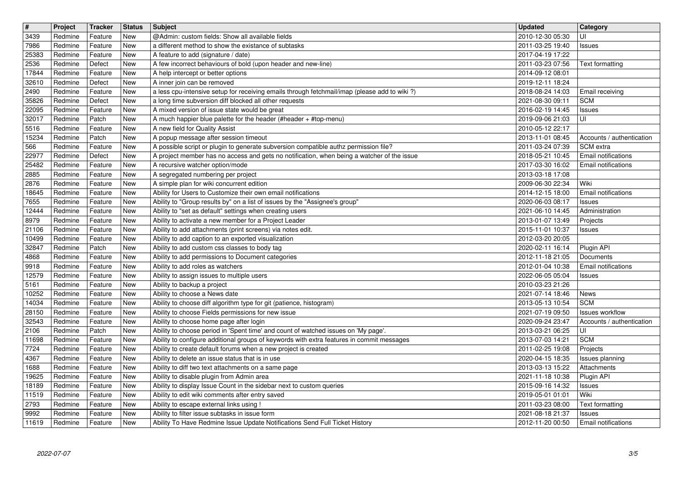| $\overline{\mathbf{H}}$ | Project            | Tracker            | <b>Status</b> | <b>Subject</b>                                                                                                                                         | <b>Updated</b>                       | <b>Category</b>                                     |
|-------------------------|--------------------|--------------------|---------------|--------------------------------------------------------------------------------------------------------------------------------------------------------|--------------------------------------|-----------------------------------------------------|
| 3439                    | Redmine            | Feature            | New           | @Admin: custom fields: Show all available fields                                                                                                       | 2010-12-30 05:30                     | UI                                                  |
| 7986<br>25383           | Redmine<br>Redmine | Feature<br>Feature | New<br>New    | a different method to show the existance of subtasks<br>A feature to add (signature / date)                                                            | 2011-03-25 19:40<br>2017-04-19 17:22 | <b>Issues</b>                                       |
| 2536                    | Redmine            | Defect             | New           | A few incorrect behaviours of bold (upon header and new-line)                                                                                          | 2011-03-23 07:56                     | Text formatting                                     |
| 17844                   | Redmine            | Feature            | New           | A help intercept or better options                                                                                                                     | 2014-09-12 08:01                     |                                                     |
| 32610                   | Redmine            | Defect             | New           | A inner join can be removed                                                                                                                            | 2019-12-11 18:24                     |                                                     |
| 2490<br>35826           | Redmine<br>Redmine | Feature<br>Defect  | New<br>New    | a less cpu-intensive setup for receiving emails through fetchmail/imap (please add to wiki?)<br>a long time subversion diff blocked all other requests | 2018-08-24 14:03<br>2021-08-30 09:11 | Email receiving<br><b>SCM</b>                       |
| 22095                   | Redmine            | Feature            | New           | A mixed version of issue state would be great                                                                                                          | 2016-02-19 14:45                     | Issues                                              |
| 32017                   | Redmine            | Patch              | New           | A much happier blue palette for the header (#header + #top-menu)                                                                                       | 2019-09-06 21:03                     | UI                                                  |
| 5516                    | Redmine            | Feature            | New           | A new field for Quality Assist                                                                                                                         | 2010-05-12 22:17                     |                                                     |
| 15234<br>566            | Redmine<br>Redmine | Patch<br>Feature   | New<br>New    | A popup message after session timeout<br>A possible script or plugin to generate subversion compatible authz permission file?                          | 2013-11-01 08:45<br>2011-03-24 07:39 | Accounts / authentication<br>SCM extra              |
| 22977                   | Redmine            | Defect             | New           | A project member has no access and gets no notification, when being a watcher of the issue                                                             | 2018-05-21 10:45                     | Email notifications                                 |
| 25482                   | Redmine            | Feature            | New           | A recursive watcher option/mode                                                                                                                        | 2017-03-30 16:02                     | Email notifications                                 |
| 2885<br>2876            | Redmine<br>Redmine | Feature<br>Feature | New<br>New    | A segregated numbering per project<br>A simple plan for wiki concurrent edition                                                                        | 2013-03-18 17:08<br>2009-06-30 22:34 | Wiki                                                |
| 18645                   | Redmine            | Feature            | New           | Ability for Users to Customize their own email notifications                                                                                           | 2014-12-15 18:00                     | Email notifications                                 |
| 7655                    | Redmine            | Feature            | New           | Ability to "Group results by" on a list of issues by the "Assignee's group"                                                                            | 2020-06-03 08:17                     | Issues                                              |
| 12444                   | Redmine            | Feature            | New           | Ability to "set as default" settings when creating users                                                                                               | 2021-06-10 14:45                     | Administration                                      |
| 8979<br>21106           | Redmine<br>Redmine | Feature<br>Feature | New<br>New    | Ability to activate a new member for a Project Leader<br>Ability to add attachments (print screens) via notes edit.                                    | 2013-01-07 13:49<br>2015-11-01 10:37 | Projects<br><b>Issues</b>                           |
| 10499                   | Redmine            | Feature            | New           | Ability to add caption to an exported visualization                                                                                                    | 2012-03-20 20:05                     |                                                     |
| 32847                   | Redmine            | Patch              | New           | Ability to add custom css classes to body tag                                                                                                          | 2020-02-11 16:14                     | Plugin API                                          |
| 4868                    | Redmine            | Feature            | New           | Ability to add permissions to Document categories                                                                                                      | 2012-11-18 21:05                     | Documents                                           |
| 9918<br>12579           | Redmine<br>Redmine | Feature<br>Feature | New<br>New    | Ability to add roles as watchers<br>Ability to assign issues to multiple users                                                                         | 2012-01-04 10:38<br>2022-06-05 05:04 | Email notifications<br><b>Issues</b>                |
| 5161                    | Redmine            | Feature            | New           | Ability to backup a project                                                                                                                            | 2010-03-23 21:26                     |                                                     |
| 10252                   | Redmine            | Feature            | New           | Ability to choose a News date                                                                                                                          | 2021-07-14 18:46                     | News                                                |
| 14034                   | Redmine            | Feature            | <b>New</b>    | Ability to choose diff algorithm type for git (patience, histogram)                                                                                    | 2013-05-13 10:54                     | <b>SCM</b>                                          |
| 28150<br>32543          | Redmine<br>Redmine | Feature<br>Feature | New<br>New    | Ability to choose Fields permissions for new issue<br>Ability to choose home page after login                                                          | 2021-07-19 09:50<br>2020-09-24 23:47 | <b>Issues workflow</b><br>Accounts / authentication |
| 2106                    | Redmine            | Patch              | New           | Ability to choose period in 'Spent time' and count of watched issues on 'My page'.                                                                     | 2013-03-21 06:25                     | luı                                                 |
| 11698                   | Redmine            | Feature            | New           | Ability to configure additional groups of keywords with extra features in commit messages                                                              | 2013-07-03 14:21                     | <b>SCM</b>                                          |
| 7724                    | Redmine            | Feature            | New           | Ability to create default forums when a new project is created                                                                                         | 2011-02-25 19:08                     | Projects                                            |
| 4367<br>1688            | Redmine<br>Redmine | Feature<br>Feature | New<br>New    | Ability to delete an issue status that is in use<br>Ability to diff two text attachments on a same page                                                | 2020-04-15 18:35<br>2013-03-13 15:22 | Issues planning<br>Attachments                      |
| 19625                   | Redmine            | Feature            | New           | Ability to disable plugin from Admin area                                                                                                              | 2021-11-18 10:38                     | Plugin API                                          |
| 18189                   | Redmine            | Feature            | New           | Ability to display Issue Count in the sidebar next to custom queries                                                                                   | 2015-09-16 14:32                     | Issues                                              |
| 11519<br>2793           | Redmine<br>Redmine | Feature<br>Feature | New<br>New    | Ability to edit wiki comments after entry saved<br>Ability to escape external links using !                                                            | 2019-05-01 01:01<br>2011-03-23 08:00 | Wiki<br>Text formatting                             |
| 9992                    | Redmine            | Feature            | New           | Ability to filter issue subtasks in issue form                                                                                                         | 2021-08-18 21:37                     | Issues                                              |
| 11619                   | Redmine            | Feature            | New           | Ability To Have Redmine Issue Update Notifications Send Full Ticket History                                                                            | 2012-11-20 00:50                     | Email notifications                                 |
|                         |                    |                    |               |                                                                                                                                                        |                                      |                                                     |
|                         |                    |                    |               |                                                                                                                                                        |                                      |                                                     |
|                         |                    |                    |               |                                                                                                                                                        |                                      |                                                     |
|                         |                    |                    |               |                                                                                                                                                        |                                      |                                                     |
|                         |                    |                    |               |                                                                                                                                                        |                                      |                                                     |
|                         |                    |                    |               |                                                                                                                                                        |                                      |                                                     |
|                         |                    |                    |               |                                                                                                                                                        |                                      |                                                     |
|                         |                    |                    |               |                                                                                                                                                        |                                      |                                                     |
|                         |                    |                    |               |                                                                                                                                                        |                                      |                                                     |
|                         |                    |                    |               |                                                                                                                                                        |                                      |                                                     |
|                         |                    |                    |               |                                                                                                                                                        |                                      |                                                     |
|                         |                    |                    |               |                                                                                                                                                        |                                      |                                                     |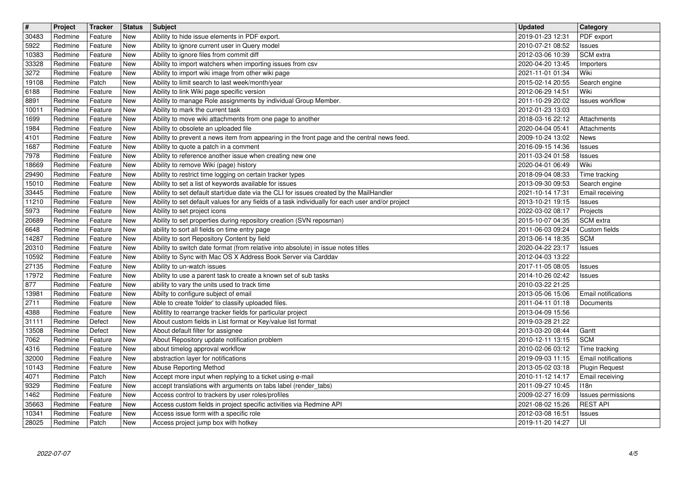| $\overline{\mathbf{H}}$ | Project            | Tracker            | <b>Status</b>     | <b>Subject</b>                                                                                                                      | <b>Updated</b>                       | <b>Category</b>                                     |
|-------------------------|--------------------|--------------------|-------------------|-------------------------------------------------------------------------------------------------------------------------------------|--------------------------------------|-----------------------------------------------------|
| 30483                   | Redmine            | Feature            | New               | Ability to hide issue elements in PDF export.                                                                                       | 2019-01-23 12:31                     | PDF export                                          |
| 5922<br>10383           | Redmine<br>Redmine | Feature<br>Feature | New<br><b>New</b> | Ability to ignore current user in Query model<br>Ability to ignore files from commit diff                                           | 2010-07-21 08:52<br>2012-03-06 10:39 | Issues<br>SCM extra                                 |
| 33328                   | Redmine            | Feature            | New               | Ability to import watchers when importing issues from csv                                                                           | 2020-04-20 13:45                     | Importers                                           |
| 3272                    | Redmine            | Feature            | New               | Ability to import wiki image from other wiki page                                                                                   | 2021-11-01 01:34                     | Wiki                                                |
| 19108                   | Redmine            | Patch              | New               | Ability to limit search to last week/month/year                                                                                     | 2015-02-14 20:55                     | Search engine                                       |
| 6188<br>8891            | Redmine<br>Redmine | Feature<br>Feature | New<br>New        | Ability to link Wiki page specific version<br>Ability to manage Role assignments by individual Group Member.                        | 2012-06-29 14:51<br>2011-10-29 20:02 | Wiki<br><b>Issues workflow</b>                      |
| 10011                   | Redmine            | Feature            | New               | Ability to mark the current task                                                                                                    | 2012-01-23 13:03                     |                                                     |
| 1699                    | Redmine            | Feature            | New               | Ability to move wiki attachments from one page to another                                                                           | 2018-03-16 22:12                     | Attachments                                         |
| 1984                    | Redmine            | Feature            | New               | Ability to obsolete an uploaded file                                                                                                | 2020-04-04 05:41                     | Attachments                                         |
| 4101<br>1687            | Redmine<br>Redmine | Feature<br>Feature | <b>New</b><br>New | Ability to prevent a news item from appearing in the front page and the central news feed.<br>Ability to quote a patch in a comment | 2009-10-24 13:02<br>2016-09-15 14:36 | <b>News</b><br>Issues                               |
| 7978                    | Redmine            | Feature            | New               | Ability to reference another issue when creating new one                                                                            | 2011-03-24 01:58                     | Issues                                              |
| 18669                   | Redmine            | Feature            | New               | Ability to remove Wiki (page) history                                                                                               | 2020-04-01 06:49                     | Wiki                                                |
| 29490<br>15010          | Redmine<br>Redmine | Feature<br>Feature | New<br>New        | Ability to restrict time logging on certain tracker types<br>Ability to set a list of keywords available for issues                 | 2018-09-04 08:33                     | Time tracking                                       |
| 33445                   | Redmine            | Feature            | New               | Ability to set default start/due date via the CLI for issues created by the MailHandler                                             | 2013-09-30 09:53<br>2021-10-14 17:31 | Search engine<br>Email receiving                    |
| 11210                   | Redmine            | Feature            | New               | Ability to set default values for any fields of a task individually for each user and/or project                                    | 2013-10-21 19:15                     | <b>Issues</b>                                       |
| 5973                    | Redmine            | Feature            | New               | Ability to set project icons                                                                                                        | 2022-03-02 08:17                     | Projects                                            |
| 20689<br>6648           | Redmine<br>Redmine | Feature<br>Feature | New<br>New        | Ability to set properties during repository creation (SVN reposman)<br>ability to sort all fields on time entry page                | 2015-10-07 04:35<br>2011-06-03 09:24 | SCM extra<br>Custom fields                          |
| 14287                   | Redmine            | Feature            | <b>New</b>        | Ability to sort Repository Content by field                                                                                         | 2013-06-14 18:35                     | <b>SCM</b>                                          |
| 20310                   | Redmine            | Feature            | New               | Ability to switch date format (from relative into absolute) in issue notes titles                                                   | 2020-04-22 23:17                     | <b>Issues</b>                                       |
| 10592                   | Redmine            | Feature            | New               | Ability to Sync with Mac OS X Address Book Server via Carddav                                                                       | 2012-04-03 13:22                     |                                                     |
| 27135<br>17972          | Redmine<br>Redmine | Feature<br>Feature | New<br>New        | Ability to un-watch issues<br>Ability to use a parent task to create a known set of sub tasks                                       | 2017-11-05 08:05<br>2014-10-26 02:42 | Issues<br>Issues                                    |
| 877                     | Redmine            | Feature            | New               | ability to vary the units used to track time                                                                                        | 2010-03-22 21:25                     |                                                     |
| 13981                   | Redmine            | Feature            | New               | Abilty to configure subject of email                                                                                                | 2013-05-06 15:06                     | Email notifications                                 |
| 2711                    | Redmine            | Feature            | New               | Able to create 'folder' to classify uploaded files.                                                                                 | 2011-04-11 01:18                     | Documents                                           |
| 4388<br>31111           | Redmine<br>Redmine | Feature<br>Defect  | New<br>New        | Ablitity to rearrange tracker fields for particular project<br>About custom fields in List format or Key/value list format          | 2013-04-09 15:56<br>2019-03-28 21:22 |                                                     |
| 13508                   | Redmine            | Defect             | New               | About default filter for assignee                                                                                                   | 2013-03-20 08:44                     | Gantt                                               |
| 7062                    | Redmine            | Feature            | New               | About Repository update notification problem                                                                                        | 2010-12-11 13:15                     | <b>SCM</b>                                          |
| 4316                    | Redmine            | Feature            | New               | about timelog approval workflow                                                                                                     | 2010-02-06 03:12                     | Time tracking                                       |
| 32000<br>10143          | Redmine<br>Redmine | Feature<br>Feature | New<br>New        | abstraction layer for notifications<br>Abuse Reporting Method                                                                       | 2019-09-03 11:15<br>2013-05-02 03:18 | <b>Email notifications</b><br><b>Plugin Request</b> |
| 4071                    | Redmine            | Patch              | New               | Accept more input when replying to a ticket using e-mail                                                                            | 2010-11-12 14:17                     | <b>Email receiving</b>                              |
| 9329                    | Redmine            | Feature            | New               | accept translations with arguments on tabs label (render_tabs)                                                                      | 2011-09-27 10:45                     | 118n                                                |
| 1462                    | Redmine            | Feature            | New               | Access control to trackers by user roles/profiles                                                                                   | 2009-02-27 16:09                     | Issues permissions                                  |
| 35663<br>10341          | Redmine<br>Redmine | Feature<br>Feature | New<br>New        | Access custom fields in project specific activities via Redmine API<br>Access issue form with a specific role                       | 2021-08-02 15:26<br>2012-03-08 16:51 | <b>REST API</b><br><b>Issues</b>                    |
| 28025                   | Redmine            | Patch              | New               | Access project jump box with hotkey                                                                                                 | 2019-11-20 14:27                     | l UI                                                |
|                         |                    |                    |                   |                                                                                                                                     |                                      |                                                     |
|                         |                    |                    |                   |                                                                                                                                     |                                      |                                                     |
|                         |                    |                    |                   |                                                                                                                                     |                                      |                                                     |
|                         |                    |                    |                   |                                                                                                                                     |                                      |                                                     |
|                         |                    |                    |                   |                                                                                                                                     |                                      |                                                     |
|                         |                    |                    |                   |                                                                                                                                     |                                      |                                                     |
|                         |                    |                    |                   |                                                                                                                                     |                                      |                                                     |
|                         |                    |                    |                   |                                                                                                                                     |                                      |                                                     |
|                         |                    |                    |                   |                                                                                                                                     |                                      |                                                     |
|                         |                    |                    |                   |                                                                                                                                     |                                      |                                                     |
|                         |                    |                    |                   |                                                                                                                                     |                                      |                                                     |